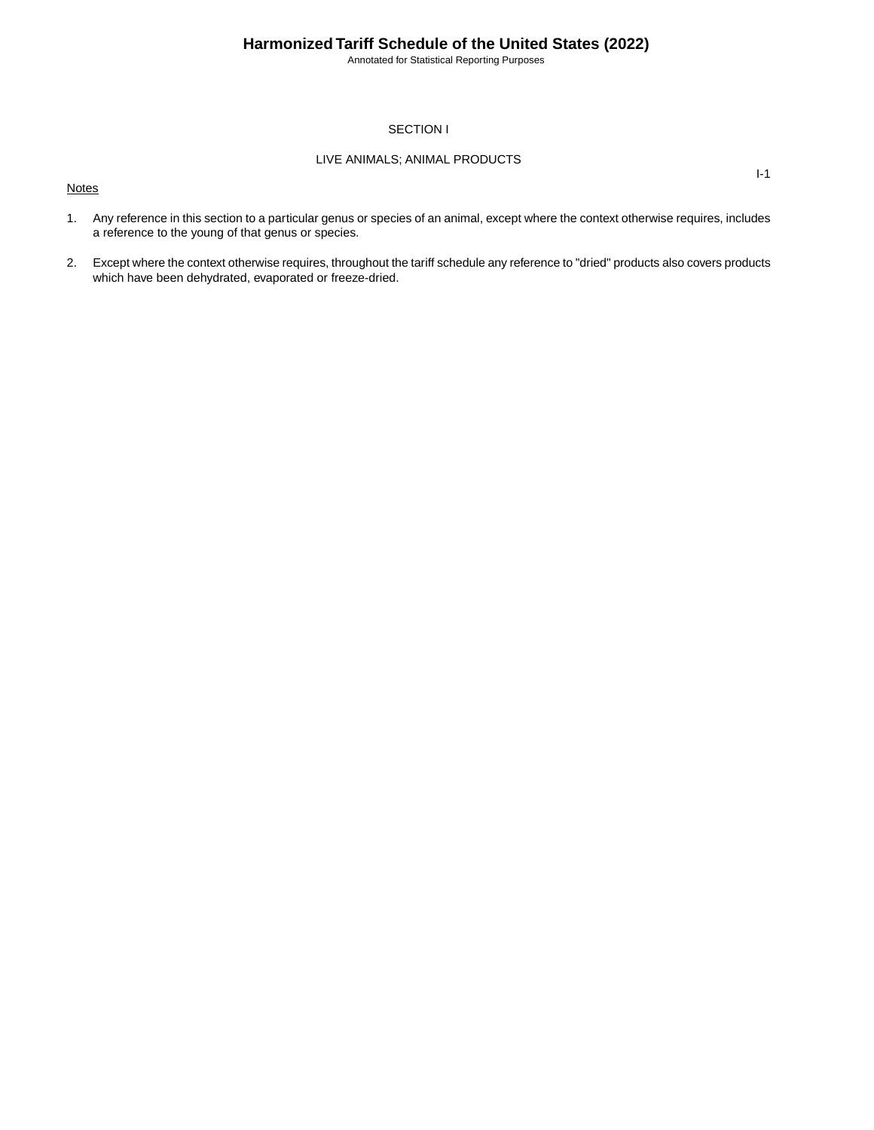Annotated for Statistical Reporting Purposes

I-1

### SECTION I

#### LIVE ANIMALS; ANIMAL PRODUCTS

**Notes** 

- 1. Any reference in this section to a particular genus or species of an animal, except where the context otherwise requires, includes a reference to the young of that genus or species.
- 2. Except where the context otherwise requires, throughout the tariff schedule any reference to "dried" products also covers products which have been dehydrated, evaporated or freeze-dried.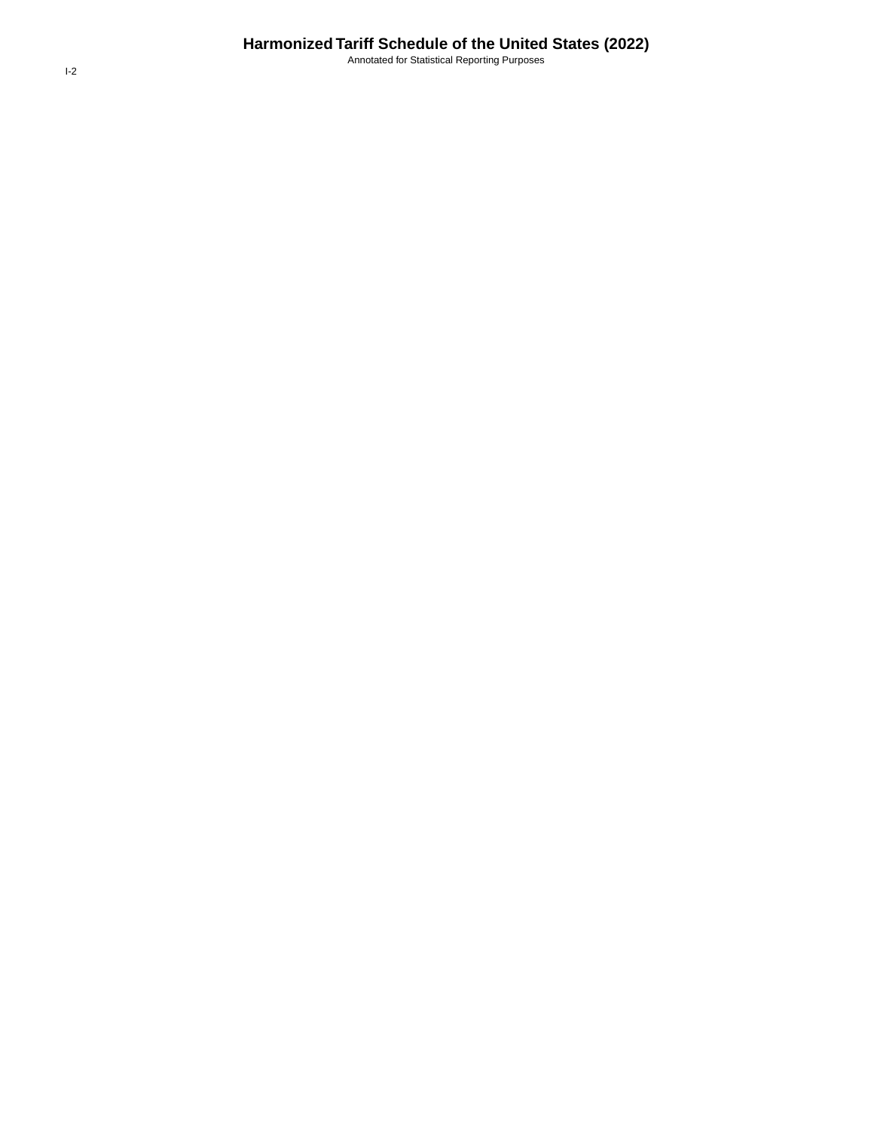Annotated for Statistical Reporting Purposes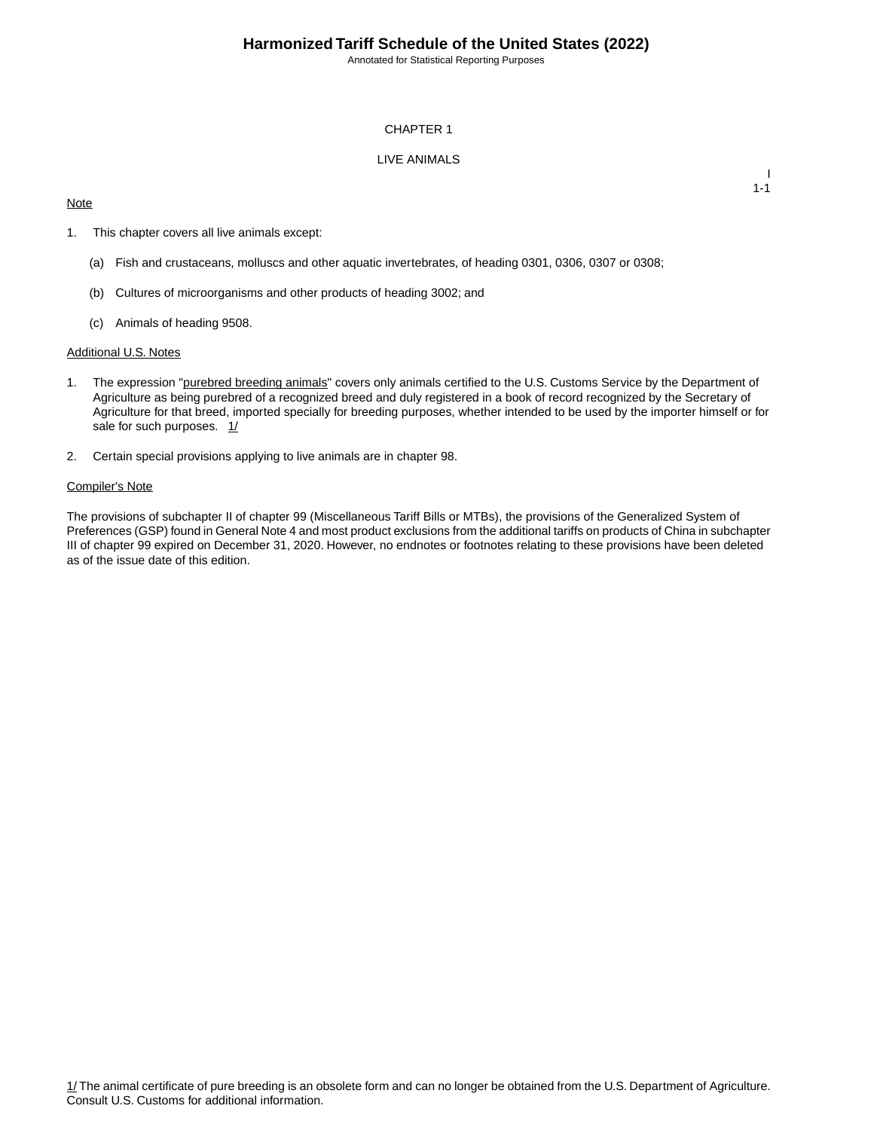Annotated for Statistical Reporting Purposes

I 1-1

#### CHAPTER 1

### LIVE ANIMALS

### **Note**

1. This chapter covers all live animals except:

- (a) Fish and crustaceans, molluscs and other aquatic invertebrates, of heading 0301, 0306, 0307 or 0308;
- (b) Cultures of microorganisms and other products of heading 3002; and
- (c) Animals of heading 9508.

#### Additional U.S. Notes

- 1. The expression "purebred breeding animals" covers only animals certified to the U.S. Customs Service by the Department of Agriculture as being purebred of a recognized breed and duly registered in a book of record recognized by the Secretary of Agriculture for that breed, imported specially for breeding purposes, whether intended to be used by the importer himself or for sale for such purposes. 1/
- 2. Certain special provisions applying to live animals are in chapter 98.

#### Compiler's Note

The provisions of subchapter II of chapter 99 (Miscellaneous Tariff Bills or MTBs), the provisions of the Generalized System of Preferences (GSP) found in General Note 4 and most product exclusions from the additional tariffs on products of China in subchapter III of chapter 99 expired on December 31, 2020. However, no endnotes or footnotes relating to these provisions have been deleted as of the issue date of this edition.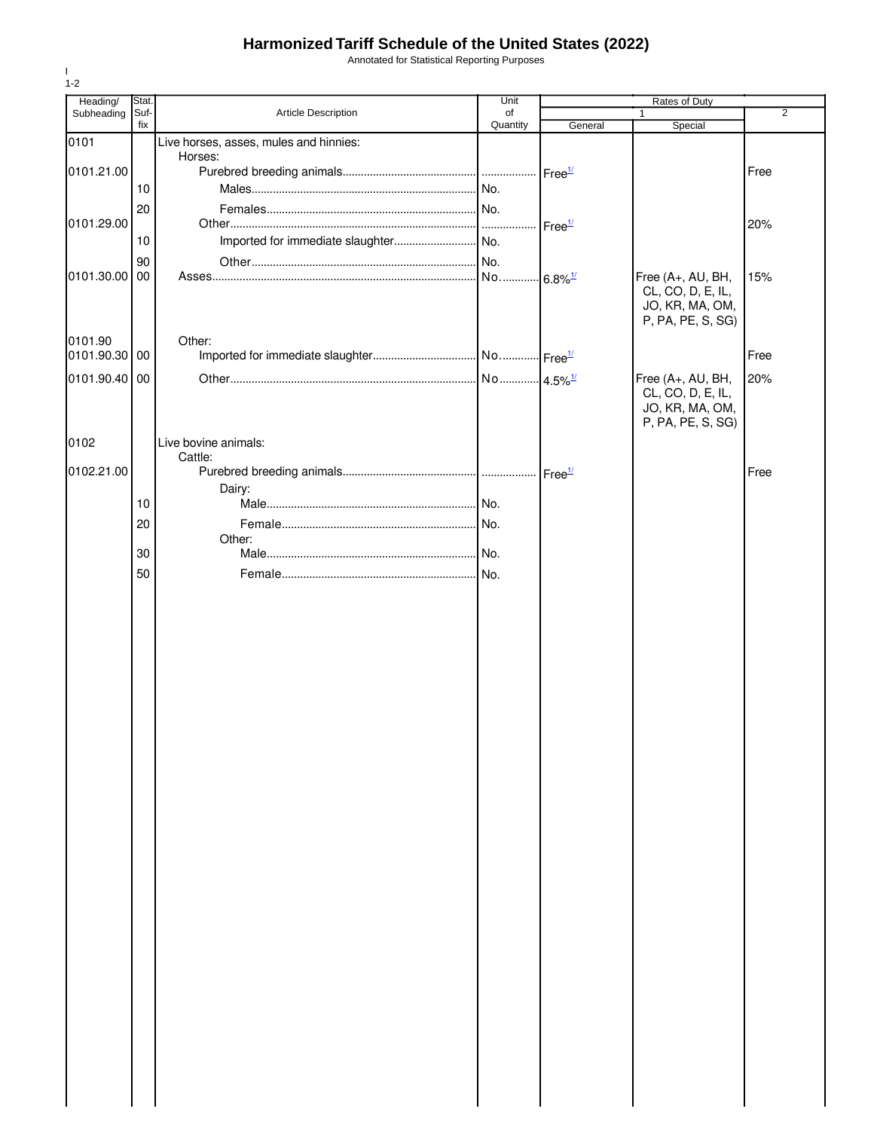Annotated for Statistical Reporting Purposes

| Suf-<br>fix | Article Description<br>Live horses, asses, mules and hinnies:<br>Horses: | of<br>Quantity                                      | General            | 1<br>Special                                              | $\overline{2}$                         |
|-------------|--------------------------------------------------------------------------|-----------------------------------------------------|--------------------|-----------------------------------------------------------|----------------------------------------|
|             |                                                                          |                                                     |                    |                                                           |                                        |
|             |                                                                          |                                                     |                    |                                                           |                                        |
|             |                                                                          |                                                     |                    |                                                           |                                        |
|             |                                                                          |                                                     | Free <sup>1/</sup> |                                                           | Free                                   |
| 10          |                                                                          |                                                     |                    |                                                           |                                        |
| 20          |                                                                          |                                                     |                    |                                                           |                                        |
|             |                                                                          |                                                     |                    |                                                           | 20%                                    |
|             |                                                                          |                                                     |                    |                                                           |                                        |
|             |                                                                          |                                                     |                    |                                                           |                                        |
|             |                                                                          |                                                     |                    |                                                           | 15%                                    |
|             |                                                                          |                                                     |                    | CL, CO, D, E, IL,<br>JO, KR, MA, OM,<br>P, PA, PE, S, SG) |                                        |
|             | Other:                                                                   |                                                     |                    |                                                           |                                        |
|             |                                                                          |                                                     |                    |                                                           | Free                                   |
| 00          |                                                                          |                                                     |                    |                                                           | 20%                                    |
|             |                                                                          |                                                     |                    | CL, CO, D, E, IL,<br>JO, KR, MA, OM,<br>P, PA, PE, S, SG) |                                        |
|             |                                                                          |                                                     |                    |                                                           |                                        |
|             |                                                                          |                                                     |                    |                                                           | Free                                   |
|             |                                                                          |                                                     |                    |                                                           |                                        |
| 10          |                                                                          |                                                     |                    |                                                           |                                        |
|             |                                                                          |                                                     |                    |                                                           |                                        |
|             |                                                                          |                                                     |                    |                                                           |                                        |
| 30          |                                                                          |                                                     |                    |                                                           |                                        |
|             |                                                                          |                                                     |                    |                                                           |                                        |
|             |                                                                          |                                                     |                    |                                                           |                                        |
|             |                                                                          |                                                     |                    |                                                           |                                        |
|             | 10<br>90<br>00<br>00<br>20<br>50                                         | Live bovine animals:<br>Cattle:<br>Dairy:<br>Other: |                    | Free <sup>1/</sup>                                        | Free (A+, AU, BH,<br>Free (A+, AU, BH, |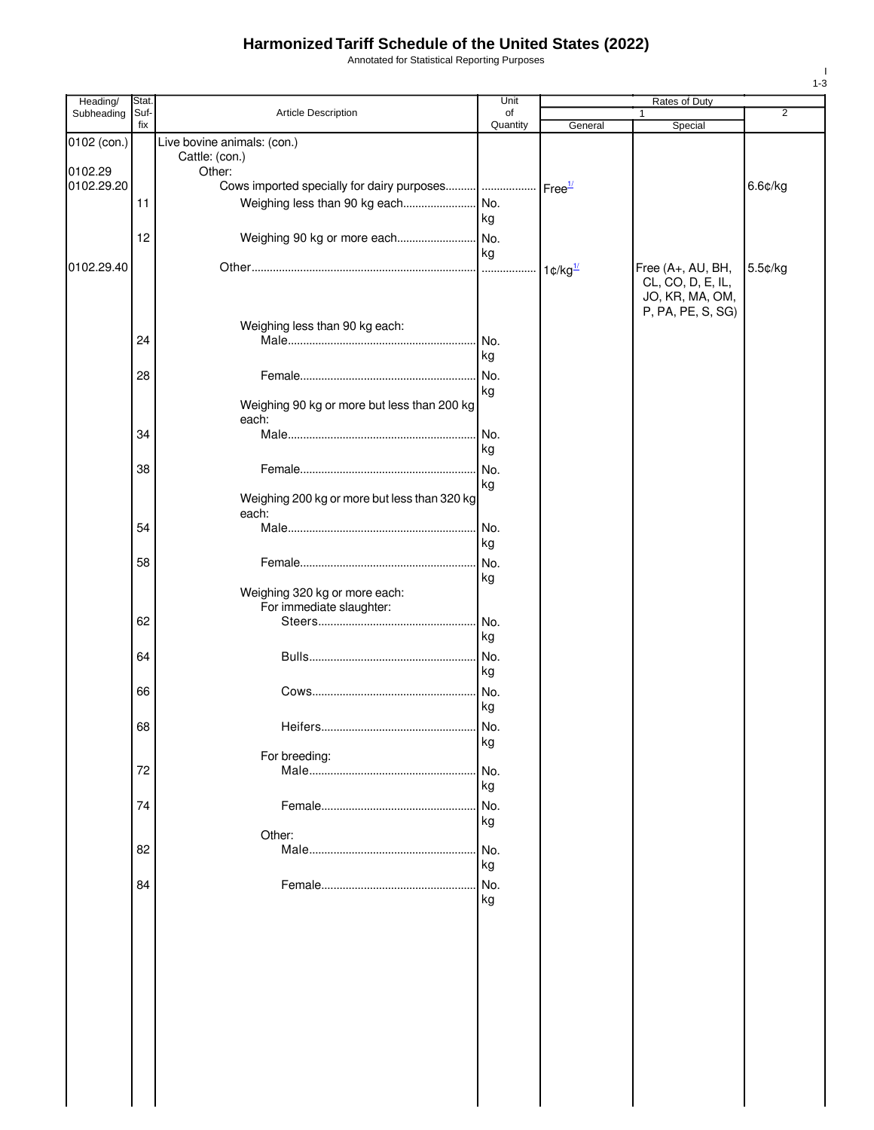Annotated for Statistical Reporting Purposes

| Heading/<br>Stat. |             |                                              | Unit           |                       | Rates of Duty                        |                |  |
|-------------------|-------------|----------------------------------------------|----------------|-----------------------|--------------------------------------|----------------|--|
| Subheading        | Suf-<br>fix | Article Description                          | of<br>Quantity | General               | 1<br>Special                         | $\overline{2}$ |  |
| 0102 (con.)       |             | Live bovine animals: (con.)                  |                |                       |                                      |                |  |
|                   |             | Cattle: (con.)                               |                |                       |                                      |                |  |
| 0102.29           |             | Other:                                       |                |                       |                                      |                |  |
| 0102.29.20        | 11          | Weighing less than 90 kg each                | . No.          | Free <sup>1/</sup>    |                                      | 6.6¢/kg        |  |
|                   |             |                                              | kg             |                       |                                      |                |  |
|                   | 12          | Weighing 90 kg or more each                  | No.            |                       |                                      |                |  |
|                   |             |                                              | kg             |                       |                                      |                |  |
| 0102.29.40        |             |                                              |                | $1 \text{C/kg}^{1/2}$ | Free (A+, AU, BH,                    | 5.5¢/kg        |  |
|                   |             |                                              |                |                       | CL, CO, D, E, IL,                    |                |  |
|                   |             |                                              |                |                       | JO, KR, MA, OM,<br>P, PA, PE, S, SG) |                |  |
|                   |             | Weighing less than 90 kg each:               |                |                       |                                      |                |  |
|                   | 24          |                                              | No.            |                       |                                      |                |  |
|                   |             |                                              | kg             |                       |                                      |                |  |
|                   | 28          |                                              | No.            |                       |                                      |                |  |
|                   |             | Weighing 90 kg or more but less than 200 kg  | kg             |                       |                                      |                |  |
|                   |             | each:                                        |                |                       |                                      |                |  |
|                   | 34          |                                              | No.            |                       |                                      |                |  |
|                   |             |                                              | kg             |                       |                                      |                |  |
|                   | 38          |                                              | No.            |                       |                                      |                |  |
|                   |             | Weighing 200 kg or more but less than 320 kg | kg             |                       |                                      |                |  |
|                   |             | each:                                        |                |                       |                                      |                |  |
|                   | 54          |                                              | No.            |                       |                                      |                |  |
|                   |             |                                              | kg             |                       |                                      |                |  |
|                   | 58          |                                              | No.            |                       |                                      |                |  |
|                   |             | Weighing 320 kg or more each:                | kg             |                       |                                      |                |  |
|                   |             | For immediate slaughter:                     |                |                       |                                      |                |  |
|                   | 62          |                                              | No.            |                       |                                      |                |  |
|                   |             |                                              | kg             |                       |                                      |                |  |
|                   | 64          |                                              | No.            |                       |                                      |                |  |
|                   |             |                                              | kg             |                       |                                      |                |  |
|                   | 66          |                                              | No.            |                       |                                      |                |  |
|                   |             |                                              | kg             |                       |                                      |                |  |
|                   | 68          |                                              | No.<br>kg      |                       |                                      |                |  |
|                   |             | For breeding:                                |                |                       |                                      |                |  |
|                   | 72          |                                              | No.            |                       |                                      |                |  |
|                   |             |                                              | kg             |                       |                                      |                |  |
|                   | 74          |                                              | No.            |                       |                                      |                |  |
|                   |             | Other:                                       | kg             |                       |                                      |                |  |
|                   | 82          |                                              | No.            |                       |                                      |                |  |
|                   |             |                                              | kg             |                       |                                      |                |  |
|                   | 84          |                                              | No.            |                       |                                      |                |  |
|                   |             |                                              | kg             |                       |                                      |                |  |
|                   |             |                                              |                |                       |                                      |                |  |
|                   |             |                                              |                |                       |                                      |                |  |
|                   |             |                                              |                |                       |                                      |                |  |
|                   |             |                                              |                |                       |                                      |                |  |
|                   |             |                                              |                |                       |                                      |                |  |
|                   |             |                                              |                |                       |                                      |                |  |
|                   |             |                                              |                |                       |                                      |                |  |
|                   |             |                                              |                |                       |                                      |                |  |
|                   |             |                                              |                |                       |                                      |                |  |
|                   |             |                                              |                |                       |                                      |                |  |
|                   |             |                                              |                |                       |                                      |                |  |

I 1-3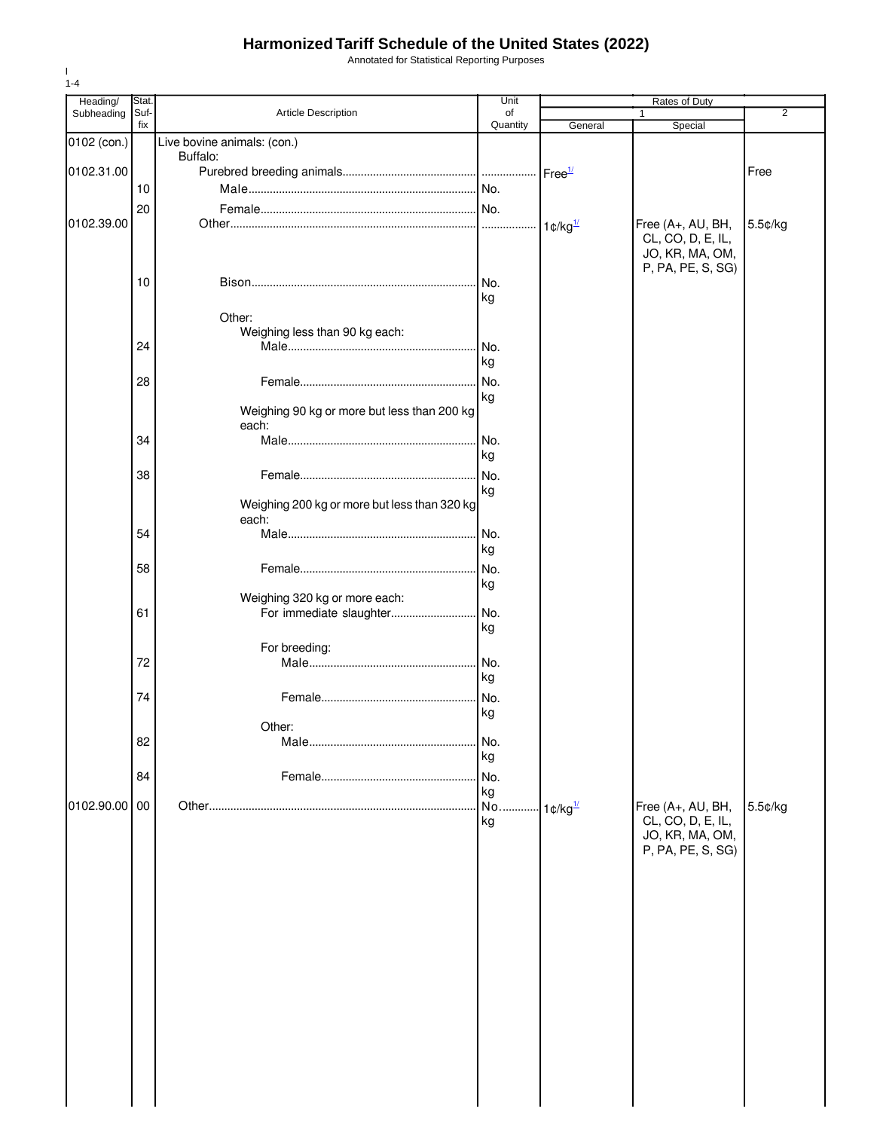Annotated for Statistical Reporting Purposes

| Heading/    | Stat.       |                                                       | Unit           | Rates of Duty         |                                                                                |                |  |
|-------------|-------------|-------------------------------------------------------|----------------|-----------------------|--------------------------------------------------------------------------------|----------------|--|
| Subheading  | Suf-<br>fix | Article Description                                   | of<br>Quantity |                       | 1                                                                              | $\overline{2}$ |  |
| 0102 (con.) |             | Live bovine animals: (con.)                           |                | General               | Special                                                                        |                |  |
|             |             | Buffalo:                                              |                |                       |                                                                                |                |  |
| 0102.31.00  |             |                                                       |                | Free <sup>1/</sup>    |                                                                                | Free           |  |
|             | 10          |                                                       |                |                       |                                                                                |                |  |
|             | 20          |                                                       |                |                       |                                                                                |                |  |
| 0102.39.00  |             |                                                       |                | $1 \text{C/kg}^{1/2}$ | Free (A+, AU, BH,<br>CL, CO, D, E, IL,<br>JO, KR, MA, OM,<br>P, PA, PE, S, SG) | 5.5¢/kg        |  |
|             | 10          |                                                       | No.<br>kg      |                       |                                                                                |                |  |
|             |             | Other:                                                |                |                       |                                                                                |                |  |
|             |             | Weighing less than 90 kg each:                        |                |                       |                                                                                |                |  |
|             | 24          |                                                       | No.            |                       |                                                                                |                |  |
|             |             |                                                       | kg             |                       |                                                                                |                |  |
|             | 28          |                                                       | No.            |                       |                                                                                |                |  |
|             |             |                                                       | kg             |                       |                                                                                |                |  |
|             |             | Weighing 90 kg or more but less than 200 kg<br>each:  |                |                       |                                                                                |                |  |
|             | 34          |                                                       | No.            |                       |                                                                                |                |  |
|             |             |                                                       | kg             |                       |                                                                                |                |  |
|             | 38          |                                                       | No.            |                       |                                                                                |                |  |
|             |             |                                                       | kg             |                       |                                                                                |                |  |
|             |             | Weighing 200 kg or more but less than 320 kg<br>each: |                |                       |                                                                                |                |  |
|             | 54          |                                                       | No.            |                       |                                                                                |                |  |
|             |             |                                                       | kg             |                       |                                                                                |                |  |
|             | 58          |                                                       | No.            |                       |                                                                                |                |  |
|             |             |                                                       | kg             |                       |                                                                                |                |  |
|             |             | Weighing 320 kg or more each:                         |                |                       |                                                                                |                |  |
|             | 61          | For immediate slaughter                               | No.            |                       |                                                                                |                |  |
|             |             |                                                       | kg             |                       |                                                                                |                |  |
|             |             | For breeding:                                         |                |                       |                                                                                |                |  |
|             | 72          |                                                       | No.            |                       |                                                                                |                |  |
|             |             |                                                       | kg             |                       |                                                                                |                |  |
|             | 74          |                                                       | No.            |                       |                                                                                |                |  |
|             |             |                                                       | kg             |                       |                                                                                |                |  |
|             |             | Other:                                                |                |                       |                                                                                |                |  |
|             | 82          |                                                       | No.            |                       |                                                                                |                |  |
|             |             |                                                       | kg             |                       |                                                                                |                |  |
|             | 84          |                                                       | No.            |                       |                                                                                |                |  |
|             |             |                                                       | kg             |                       |                                                                                |                |  |
| 0102.90.00  | 00          |                                                       | No.            | $1 \text{C/kg}$       | Free (A+, AU, BH,                                                              | 5.5¢/kg        |  |
|             |             |                                                       | kg             |                       | CL, CO, D, E, IL,<br>JO, KR, MA, OM,<br>P, PA, PE, S, SG)                      |                |  |
|             |             |                                                       |                |                       |                                                                                |                |  |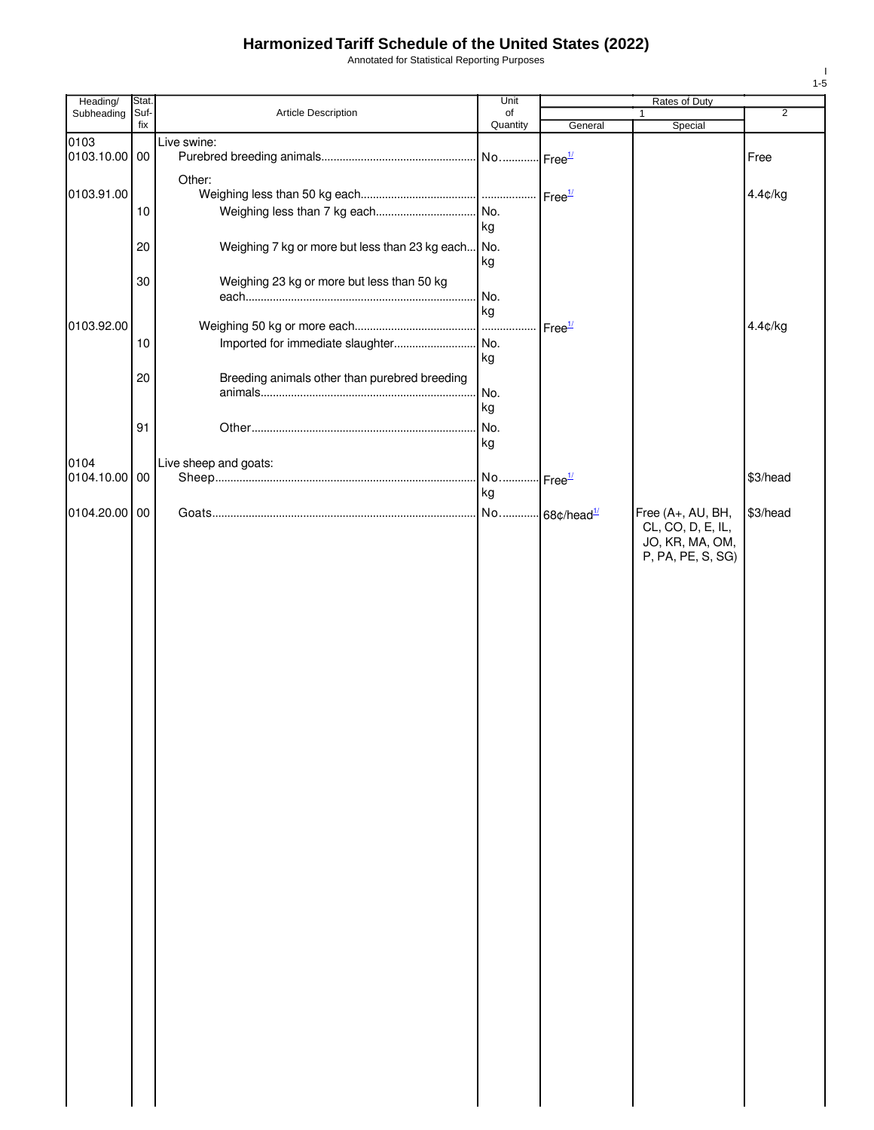Annotated for Statistical Reporting Purposes

| Heading/              | Stat.       |                                                    | Unit           |                            | Rates of Duty           |                |
|-----------------------|-------------|----------------------------------------------------|----------------|----------------------------|-------------------------|----------------|
| Subheading            | Suf-<br>fix | Article Description                                | of<br>Quantity | General                    | $\mathbf{1}$<br>Special | $\overline{2}$ |
| 0103                  |             | Live swine:                                        |                |                            |                         |                |
| 0103.10.00 00         |             |                                                    |                |                            |                         | Free           |
|                       |             | Other:                                             |                |                            |                         |                |
| 0103.91.00            |             |                                                    |                |                            |                         | 4.4¢/kg        |
|                       | 10          |                                                    |                |                            |                         |                |
|                       |             |                                                    | kg             |                            |                         |                |
|                       | 20          | Weighing 7 kg or more but less than 23 kg each No. |                |                            |                         |                |
|                       |             |                                                    | kg             |                            |                         |                |
|                       | 30          | Weighing 23 kg or more but less than 50 kg         |                |                            |                         |                |
|                       |             |                                                    | No.<br>kg      |                            |                         |                |
| 0103.92.00            |             |                                                    |                | Free <sup>1/</sup>         |                         | 4.4¢/kg        |
|                       | 10          | Imported for immediate slaughter                   | . No.          |                            |                         |                |
|                       |             |                                                    | kg             |                            |                         |                |
|                       | 20          | Breeding animals other than purebred breeding      |                |                            |                         |                |
|                       |             |                                                    | No.            |                            |                         |                |
|                       |             |                                                    | kg             |                            |                         |                |
|                       | 91          |                                                    | No.<br>kg      |                            |                         |                |
|                       |             | Live sheep and goats:                              |                |                            |                         |                |
| 0104<br>0104.10.00 00 |             |                                                    | No             | $\cdot$ Free $\frac{1}{2}$ |                         | \$3/head       |
|                       |             |                                                    | kg             |                            |                         |                |
| 0104.20.00 00         |             |                                                    |                | No 68¢/head <sup>1/</sup>  | Free (A+, AU, BH,       | \$3/head       |
|                       |             |                                                    |                |                            | CL, CO, D, E, IL,       |                |
|                       |             |                                                    |                |                            | JO, KR, MA, OM,         |                |
|                       |             |                                                    |                |                            | P, PA, PE, S, SG)       |                |
|                       |             |                                                    |                |                            |                         |                |
|                       |             |                                                    |                |                            |                         |                |
|                       |             |                                                    |                |                            |                         |                |
|                       |             |                                                    |                |                            |                         |                |
|                       |             |                                                    |                |                            |                         |                |
|                       |             |                                                    |                |                            |                         |                |
|                       |             |                                                    |                |                            |                         |                |
|                       |             |                                                    |                |                            |                         |                |
|                       |             |                                                    |                |                            |                         |                |
|                       |             |                                                    |                |                            |                         |                |
|                       |             |                                                    |                |                            |                         |                |
|                       |             |                                                    |                |                            |                         |                |
|                       |             |                                                    |                |                            |                         |                |
|                       |             |                                                    |                |                            |                         |                |
|                       |             |                                                    |                |                            |                         |                |
|                       |             |                                                    |                |                            |                         |                |
|                       |             |                                                    |                |                            |                         |                |
|                       |             |                                                    |                |                            |                         |                |
|                       |             |                                                    |                |                            |                         |                |
|                       |             |                                                    |                |                            |                         |                |
|                       |             |                                                    |                |                            |                         |                |
|                       |             |                                                    |                |                            |                         |                |
|                       |             |                                                    |                |                            |                         |                |
|                       |             |                                                    |                |                            |                         |                |
|                       |             |                                                    |                |                            |                         |                |
|                       |             |                                                    |                |                            |                         |                |
|                       |             |                                                    |                |                            |                         |                |
|                       |             |                                                    |                |                            |                         |                |
|                       |             |                                                    |                |                            |                         |                |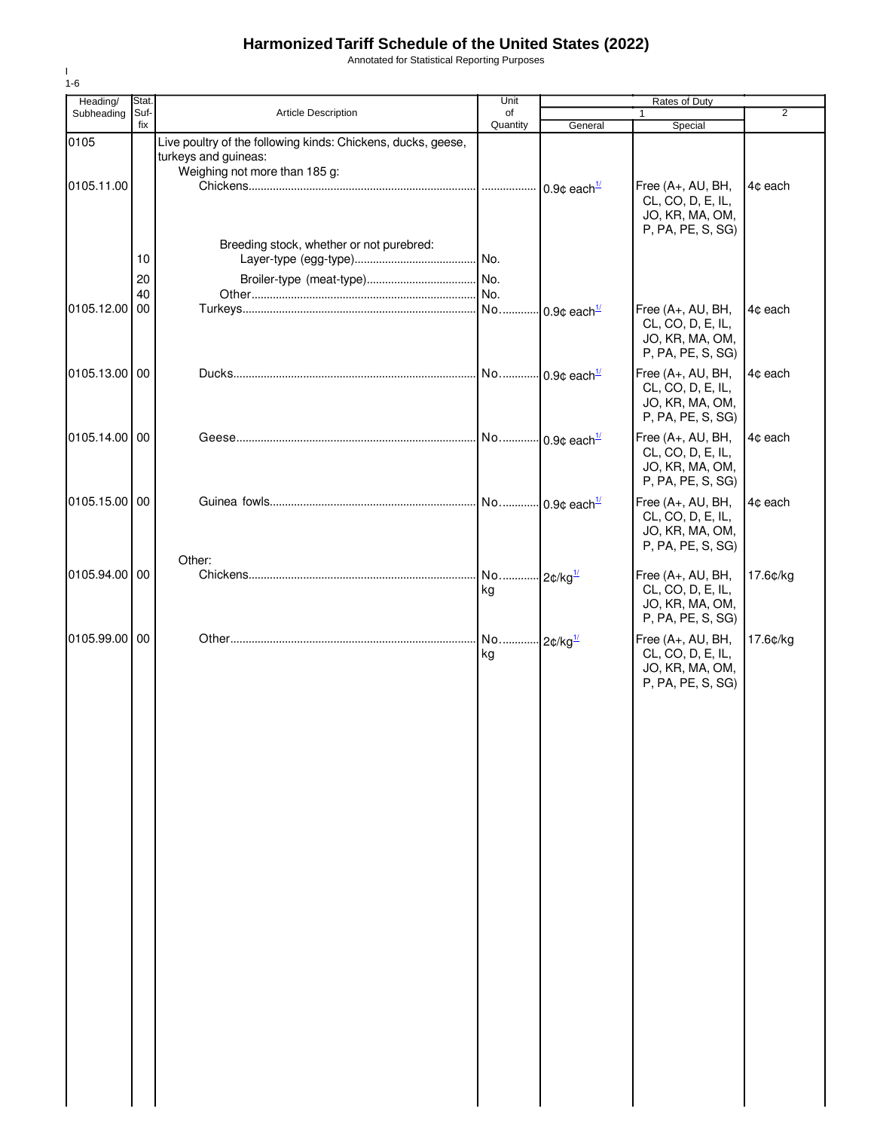Annotated for Statistical Reporting Purposes

| Heading/      | Stat.       |                                                                                      | Unit                            |                                 |                                                                                |                |
|---------------|-------------|--------------------------------------------------------------------------------------|---------------------------------|---------------------------------|--------------------------------------------------------------------------------|----------------|
| Subheading    | Suf-<br>fix | <b>Article Description</b>                                                           | of<br>Quantity                  | General                         | $\mathbf{1}$<br>Special                                                        | $\overline{2}$ |
| 0105          |             | Live poultry of the following kinds: Chickens, ducks, geese,<br>turkeys and guineas: |                                 |                                 |                                                                                |                |
| 0105.11.00    |             | Weighing not more than 185 g:                                                        |                                 | $0.9¢$ each <sup>1/</sup>       | Free (A+, AU, BH,<br>CL, CO, D, E, IL,<br>JO, KR, MA, OM,<br>P, PA, PE, S, SG) | 4¢ each        |
|               | 10          | Breeding stock, whether or not purebred:                                             |                                 |                                 |                                                                                |                |
|               | 20<br>40    |                                                                                      |                                 |                                 |                                                                                |                |
| 0105.12.00    | 00          |                                                                                      |                                 | $\cdot$ 0.9¢ each $\frac{1}{2}$ | Free (A+, AU, BH,<br>CL, CO, D, E, IL,<br>JO, KR, MA, OM,<br>P, PA, PE, S, SG) | 4¢ each        |
| 0105.13.00 00 |             |                                                                                      |                                 | No  0.9¢ each <sup>1/</sup>     | Free (A+, AU, BH,<br>CL, CO, D, E, IL,<br>JO, KR, MA, OM,<br>P, PA, PE, S, SG) | 4¢ each        |
| 0105.14.00 00 |             |                                                                                      |                                 |                                 | Free (A+, AU, BH,<br>CL, CO, D, E, IL,<br>JO, KR, MA, OM,<br>P, PA, PE, S, SG) | 4¢ each        |
| 0105.15.00 00 |             |                                                                                      |                                 | No  0.9¢ each <sup>1/</sup>     | Free (A+, AU, BH,<br>CL, CO, D, E, IL,<br>JO, KR, MA, OM,<br>P, PA, PE, S, SG) | 4¢ each        |
| 0105.94.00 00 |             | Other:                                                                               | . No  2¢/kg <sup>1/</sup><br>kg |                                 | Free (A+, AU, BH,<br>CL, CO, D, E, IL,<br>JO, KR, MA, OM,<br>P, PA, PE, S, SG) | 17.6¢/kg       |
| 0105.99.00 00 |             |                                                                                      | No<br>kg                        | 2¢/kg <sup>1/</sup>             | Free (A+, AU, BH,<br>CL, CO, D, E, IL,<br>JO, KR, MA, OM,<br>P, PA, PE, S, SG) | 17.6¢/kg       |
|               |             |                                                                                      |                                 |                                 |                                                                                |                |
|               |             |                                                                                      |                                 |                                 |                                                                                |                |
|               |             |                                                                                      |                                 |                                 |                                                                                |                |
|               |             |                                                                                      |                                 |                                 |                                                                                |                |
|               |             |                                                                                      |                                 |                                 |                                                                                |                |
|               |             |                                                                                      |                                 |                                 |                                                                                |                |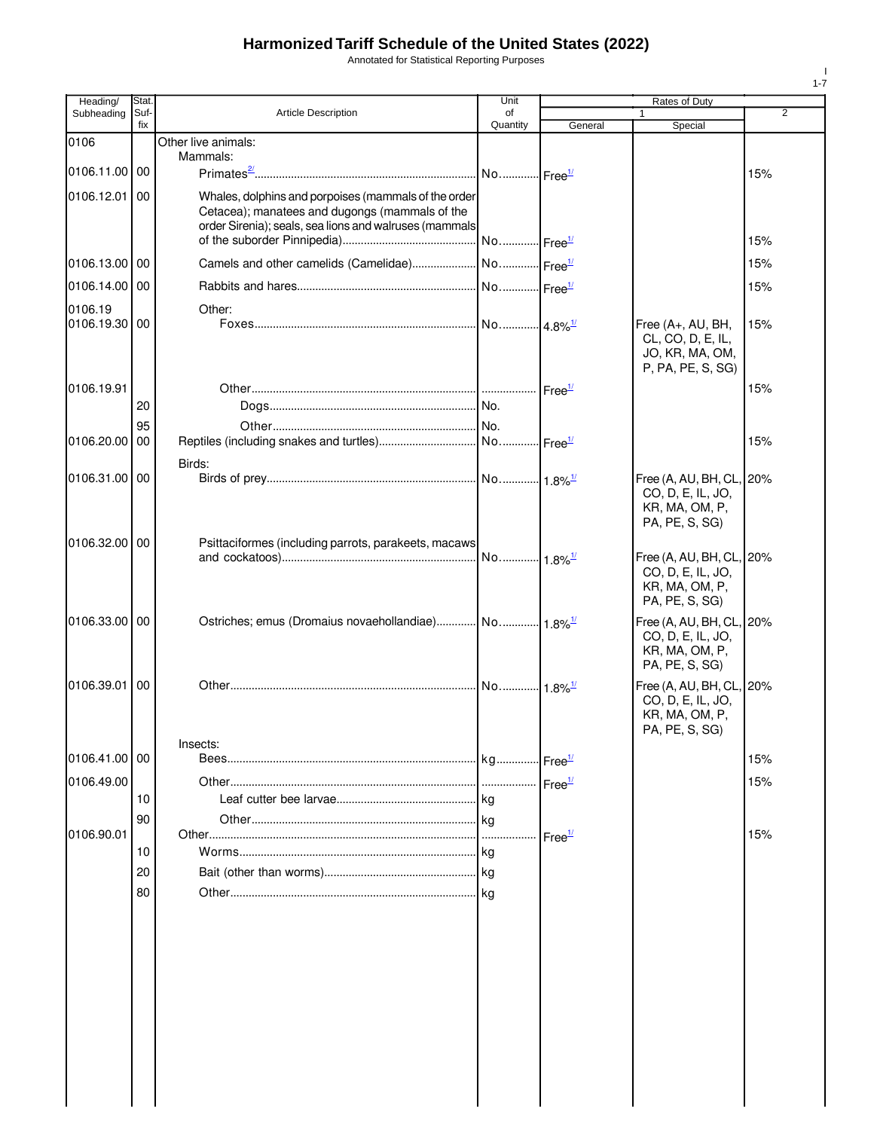Annotated for Statistical Reporting Purposes

| Heading/      | Stat.            |                                                                                                        | Unit                  |                               | Rates of Duty                                 |                |
|---------------|------------------|--------------------------------------------------------------------------------------------------------|-----------------------|-------------------------------|-----------------------------------------------|----------------|
| Subheading    | Suf-<br>fix      | Article Description                                                                                    | of<br>Quantity        | General                       | Special                                       | $\overline{2}$ |
| 0106          |                  | Other live animals:                                                                                    |                       |                               |                                               |                |
| 0106.11.00 00 |                  | Mammals:                                                                                               | No Free <sup>1/</sup> |                               |                                               | 15%            |
|               |                  |                                                                                                        |                       |                               |                                               |                |
| 0106.12.01    | $\overline{100}$ | Whales, dolphins and porpoises (mammals of the order<br>Cetacea); manatees and dugongs (mammals of the |                       |                               |                                               |                |
|               |                  | order Sirenia); seals, sea lions and walruses (mammals                                                 |                       |                               |                                               |                |
|               |                  |                                                                                                        |                       |                               |                                               | 15%            |
| 0106.13.00 00 |                  |                                                                                                        |                       |                               |                                               | 15%            |
| 0106.14.00 00 |                  |                                                                                                        | No Free <sup>1/</sup> |                               |                                               | 15%            |
| 0106.19       |                  | Other:                                                                                                 |                       |                               |                                               |                |
| 0106.19.30 00 |                  |                                                                                                        |                       |                               | Free (A+, AU, BH,<br>CL, CO, D, E, IL,        | 15%            |
|               |                  |                                                                                                        |                       |                               | JO, KR, MA, OM,                               |                |
|               |                  |                                                                                                        |                       |                               | P, PA, PE, S, SG)                             |                |
| 0106.19.91    | 20               |                                                                                                        |                       | Free <sup>1/</sup>            |                                               | 15%            |
|               | 95               |                                                                                                        |                       |                               |                                               |                |
| 0106.20.00 00 |                  |                                                                                                        |                       |                               |                                               | 15%            |
|               |                  | Birds:                                                                                                 |                       |                               |                                               |                |
| 0106.31.00 00 |                  |                                                                                                        |                       |                               | Free (A, AU, BH, CL, 20%                      |                |
|               |                  |                                                                                                        |                       |                               | CO, D, E, IL, JO,<br>KR, MA, OM, P,           |                |
|               |                  |                                                                                                        |                       |                               | PA, PE, S, SG)                                |                |
| 0106.32.00 00 |                  | Psittaciformes (including parrots, parakeets, macaws)                                                  |                       |                               |                                               |                |
|               |                  |                                                                                                        |                       |                               | Free (A, AU, BH, CL, 20%<br>CO, D, E, IL, JO, |                |
|               |                  |                                                                                                        |                       |                               | KR, MA, OM, P,                                |                |
|               |                  |                                                                                                        |                       |                               | PA, PE, S, SG)                                |                |
| 0106.33.00 00 |                  |                                                                                                        |                       |                               | Free (A, AU, BH, CL, 20%<br>CO, D, E, IL, JO, |                |
|               |                  |                                                                                                        |                       |                               | KR, MA, OM, P,                                |                |
|               |                  |                                                                                                        |                       |                               | PA, PE, S, SG)                                |                |
| 0106.39.01 00 |                  |                                                                                                        | No 1.8% <sup>1/</sup> |                               | Free (A, AU, BH, CL, 20%<br>CO, D, E, IL, JO, |                |
|               |                  |                                                                                                        |                       |                               | KR, MA, OM, P,                                |                |
|               |                  |                                                                                                        |                       |                               | PA, PE, S, SG)                                |                |
| 0106.41.00 00 |                  | Insects:                                                                                               |                       | $\cdot$ Free $^{\frac{1}{2}}$ |                                               | 15%            |
| 0106.49.00    |                  |                                                                                                        |                       | Free <sup>1/</sup>            |                                               | 15%            |
|               | 10               |                                                                                                        |                       |                               |                                               |                |
|               | 90               |                                                                                                        |                       |                               |                                               |                |
| 0106.90.01    |                  |                                                                                                        |                       | Free <sup>1/</sup>            |                                               | 15%            |
|               | 10               |                                                                                                        | kg                    |                               |                                               |                |
|               | 20               |                                                                                                        |                       |                               |                                               |                |
|               | 80               |                                                                                                        |                       |                               |                                               |                |
|               |                  |                                                                                                        |                       |                               |                                               |                |
|               |                  |                                                                                                        |                       |                               |                                               |                |
|               |                  |                                                                                                        |                       |                               |                                               |                |
|               |                  |                                                                                                        |                       |                               |                                               |                |
|               |                  |                                                                                                        |                       |                               |                                               |                |
|               |                  |                                                                                                        |                       |                               |                                               |                |
|               |                  |                                                                                                        |                       |                               |                                               |                |
|               |                  |                                                                                                        |                       |                               |                                               |                |
|               |                  |                                                                                                        |                       |                               |                                               |                |
|               |                  |                                                                                                        |                       |                               |                                               |                |